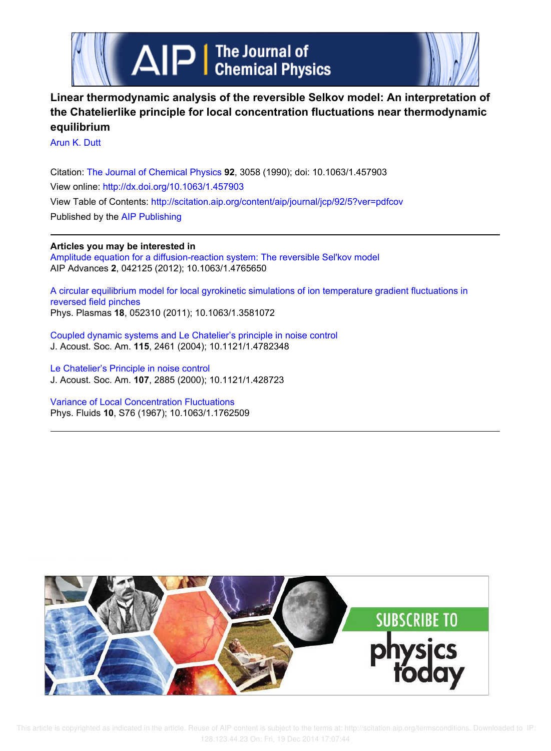



# **Linear thermodynamic analysis of the reversible Selkov model: An interpretation of the Chatelierlike principle for local concentration fluctuations near thermodynamic equilibrium**

Arun K. Dutt

Citation: The Journal of Chemical Physics **92**, 3058 (1990); doi: 10.1063/1.457903 View online: http://dx.doi.org/10.1063/1.457903 View Table of Contents: http://scitation.aip.org/content/aip/journal/jcp/92/5?ver=pdfcov Published by the AIP Publishing

# **Articles you may be interested in**

Amplitude equation for a diffusion-reaction system: The reversible Sel'kov model AIP Advances **2**, 042125 (2012); 10.1063/1.4765650

A circular equilibrium model for local gyrokinetic simulations of ion temperature gradient fluctuations in reversed field pinches Phys. Plasmas **18**, 052310 (2011); 10.1063/1.3581072

Coupled dynamic systems and Le Chatelier's principle in noise control J. Acoust. Soc. Am. **115**, 2461 (2004); 10.1121/1.4782348

Le Chatelier's Principle in noise control J. Acoust. Soc. Am. **107**, 2885 (2000); 10.1121/1.428723

Variance of Local Concentration Fluctuations Phys. Fluids **10**, S76 (1967); 10.1063/1.1762509

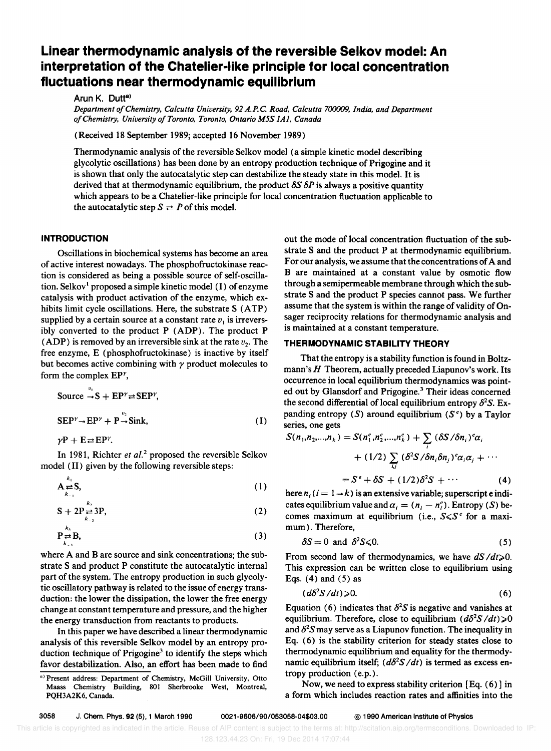# **Linear thermodynamic analysis of the reversible Selkov model: An interpretation of the Chatelier-like principle for local concentration fluctuations near thermodynamic equilibrium**

Arun K. Dutt<sup>a)</sup>

*Department of Chemistry, Calcutta University, 92 A.P.C. Road, Calcutta 700009, India, and Department a/Chemistry. University a/Toronto. Toronto. Ontario M5S IAI. Canada* 

(Received 18 September 1989; accepted 16 November 1989)

Thermodynamic analysis of the reversible Selkov model (a simple kinetic model describing glycolytic oscillations) has been done by an entropy production technique of Prigogine and it is shown that only the autocatalytic step can destabilize the steady state in this model. It is derived that at thermodynamic equilibrium, the product  $\delta S \delta P$  is always a positive quantity which appears to be a Chatelier-like principle for local concentration fluctuation applicable to the autocatalytic step  $S \rightleftarrows P$  of this model.

# **INTRODUCTION**

Oscillations in biochemical systems has become an area of active interest nowadays. The phosphofructokinase reaction is considered as being a possible source of self-oscillation. Selkov<sup>1</sup> proposed a simple kinetic model  $(I)$  of enzyme catalysis with product activation of the enzyme, which exhibits limit cycle oscillations. Here, the substrate S (ATP) supplied by a certain source at a constant rate  $v_1$  is irreversibly converted to the product P (ADP). The product P (ADP) is removed by an irreversible sink at the rate  $v_2$ . The free enzyme, E (phosphofructokinase) is inactive by itself but becomes active combining with  $\gamma$  product molecules to form the complex  $EP^{\gamma}$ ,

Source 
$$
\rightarrow
$$
 S + EP<sup>γ</sup> ≠ SEP<sup>γ</sup>,  
SEP<sup>γ</sup> → EP<sup>γ</sup> + P<sup>ν<sub>2</sub></sup> sink, (I)

 $\gamma P + E \rightleftarrows E P^{\gamma}$ .

In 1981, Richter et al.<sup>2</sup> proposed the reversible Selkov model (II) given by the following reversible steps:

$$
\mathbf{A}_{\substack{\Rightarrow\\k=1}}^{\mathbf{k}_1} \mathbf{S},\tag{1}
$$

$$
S + 2P \underset{k_{-2}}{\rightleftarrows} 3P, \tag{2}
$$

$$
\mathbf{P}_{\substack{\star\\k=3}}^{\mathbf{k}_3} \mathbf{B},\tag{3}
$$

where A and B are source and sink concentrations; the substrate S and product P constitute the autocatalytic internal part of the system. The entropy production in such glycolytic oscillatory pathway is related to the issue of energy transduction: the lower the dissipation, the lower the free energy change at constant temperature and pressure, and the higher the energy transduction from reactants to products.

In this paper we have described a linear thermodynamic analysis of this reversible Selkov model by an entropy production technique of Prigogine<sup>3</sup> to identify the steps which favor destabilization. Also, an effort has been made to find

out the mode of local concentration fluctuation of the substrate S and the product P at thermodynamic equilibrium. For our analysis, we assume that the concentrations of A and B are maintained at a constant value by osmotic flow through a semipermeable membrane through which the substrate S and the product P species cannot pass. We further assume that the system is within the range of validity of Onsager reciprocity relations for thermodynamic analysis and is maintained at a constant temperature.

## **THERMODYNAMIC STABILITY THEORY**

That the entropy is a stability function is found in Boltzmann's *H* Theorem, actually preceded Liapunov's work. Its occurrence in local equilibrium thermodynamics was pointed out by Glansdorf and Prigogine.<sup>3</sup> Their ideas concerned the second differential of local equilibrium entropy  $\delta^2 S$ . Expanding entropy (S) around equilibrium *(se)* by a Taylor series, one gets

$$
S(n_1, n_2, \ldots, n_k) = S(n_1^e, n_2^e, \ldots, n_k^e) + \sum_i (\delta S/\delta n_i)^e \alpha_i
$$
  
+ (1/2)  $\sum_{i,j} (\delta^2 S/\delta n_i \delta n_j)^e \alpha_i \alpha_j + \cdots$   
=  $S^e + \delta S + (1/2)\delta^2 S + \cdots$  (4)

here  $n_i$  ( $i = 1 \rightarrow k$ ) is an extensive variable; superscript e indicates equilibrium value and  $\alpha_i = (n_i - n_i^e)$ . Entropy (S) becomes maximum at equilibrium (i.e.,  $S \le S^e$  for a maximum). Therefore,

$$
\delta S = 0 \text{ and } \delta^2 S \leq 0. \tag{5}
$$

From second law of thermodynamics, we have  $dS/dt \ge 0$ . This expression can be written close to equilibrium using Eqs.  $(4)$  and  $(5)$  as

$$
(d\delta^2 S/dt) \geqslant 0. \tag{6}
$$

Equation (6) indicates that  $\delta^2 S$  is negative and vanishes at equilibrium. Therefore, close to equilibrium  $(d\delta^2S/dt) \ge 0$ and  $\delta^2 S$  may serve as a Liapunov function. The inequality in Eq. (6) is the stability criterion for steady states close to thermodynamic equilibrium and equality for the thermodynamic equilibrium itself;  $(d\delta^2S/dt)$  is termed as excess entropy production (e.p.).

Now, we need to express stability criterion [Eq. (6)] in a form which includes reaction rates and affinities into the

a) Present address: Department of Chemistry. McGill University. Otto Maass Chemistry Building. 801 Sherbrooke West. Montreal. PQH3A2K6, Canada.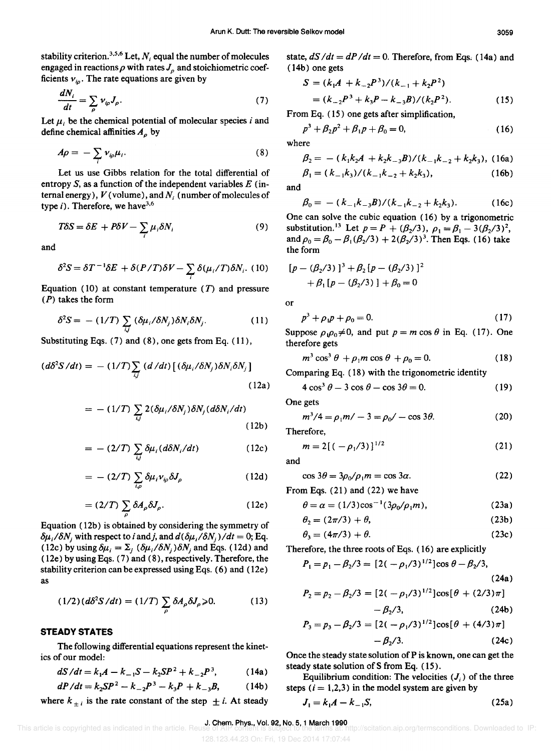stability criterion.<sup>3,5,6</sup> Let,  $N_i$  equal the number of molecules engaged in reactions  $\rho$  with rates  $J_{\rho}$  and stoichiometric coefficients  $v_{io}$ . The rate equations are given by

$$
\frac{dN_i}{dt} = \sum_{\rho} \nu_{i\rho} J_{\rho}.\tag{7}
$$

Let  $\mu$ , be the chemical potential of molecular species *i* and define chemical affinities  $A_{\rho}$  by

$$
A\rho = -\sum_{i} v_{i\rho} \mu_i. \tag{8}
$$

Let us use Gibbs relation for the total differential of  $\beta_1 =$ entropy  $S$ , as a function of the independent variables  $E$  (intemal energy), *V* (volume), and *N;* (number of molecules of type i). Therefore, we have  $3.6$ 

$$
T\delta S = \delta E + P\delta V - \sum_{i} \mu_{i} \delta N_{i}
$$
 (9)

and

$$
\delta^2 S = \delta T^{-1} \delta E + \delta (P/T) \delta V - \sum_i \delta (\mu_i/T) \delta N_i.
$$
 (10)

Equation (10) at constant temperature  $(T)$  and pressure (P) takes the form

$$
\delta^2 S = - (1/T) \sum_{i,j} (\delta \mu_i / \delta N_j) \delta N_i \delta N_j. \tag{11}
$$

Substituting Eqs.  $(7)$  and  $(8)$ , one gets from Eq.  $(11)$ ,

$$
(d\delta^2 S/dt) = -(1/T) \sum_{i,j} (d/dt) \left[ (\delta \mu_i / \delta N_j) \delta N_i \delta N_j \right]
$$
\n(12a)

$$
= - (1/T) \sum_{i,j} 2(\delta \mu_i / \delta N_j) \delta N_j (d \delta N_i / dt)
$$
\n(12b)

$$
= - (2/T) \sum_{i,j} \delta \mu_i (d\delta N_i/dt) \qquad (12c)
$$

$$
= - (2/T) \sum_{i,\rho} \delta \mu_i \nu_{i\rho} \delta J_{\rho} \qquad (12d)
$$

$$
= (2/T) \sum_{\rho} \delta A_{\rho} \delta J_{\rho}.
$$
 (12e)

Equation (12b) is obtained by considering the symmetry of  $\delta \mu_i / \delta N_i$  with respect to *i* and *j*, and  $d(\delta \mu_i / \delta N_i) / dt = 0$ ; Eq. (12c) by using  $\delta \mu_i = \Sigma_j \left( \frac{\delta \mu_i}{\delta N_j} \right) \delta N_i$  and Eqs. (12d) and ( 12e) by using Eqs. (7) and (8), respectively. Therefore, the stability criterion can be expressed using Eqs. (6) and (12e) as

$$
(1/2)(d\delta^2 S/dt) = (1/T) \sum_{\rho} \delta A_{\rho} \delta J_{\rho} \ge 0. \tag{13}
$$

## **STEADY STATES**

The following differential equations represent the kinetics of our model:

$$
dS/dt = k_1 A - k_{-1} S - k_2 S P^2 + k_{-2} P^3, \qquad (14a)
$$

$$
dP/dt = k_2 SP^2 - k_{-2}P^3 - k_3P + k_{-3}B, \qquad (14b)
$$

where  $k_{+i}$  is the rate constant of the step  $\pm i$ . At steady

state,  $dS/dt = dP/dt = 0$ . Therefore, from Eqs. (14a) and (14b) one gets

$$
S = (k_1A + k_{-2}P^3)/(k_{-1} + k_2P^2)
$$
  
=  $(k_{-2}P^3 + k_3P - k_{-3}B)/(k_2P^2)$ . (15)

From Eq. (15) one gets after simplification,

$$
p^3 + \beta_2 p^2 + \beta_1 p + \beta_0 = 0,\t\t(16)
$$

where

$$
\beta_2 = - (k_1 k_2 A + k_2 k_{-3} B) / (k_{-1} k_{-2} + k_2 k_3), \quad (16a)
$$

$$
(k_{-1}k_3)/(k_{-1}k_{-2}+k_2k_3), \t\t (16b)
$$

$$
\beta_0 = -\frac{(k_{-1}k_{-3}B)}{(k_{-1}k_{-2} + k_2k_3)}.
$$
 (16c)

One can solve the cubic equation (16) by a trigonometric substitution.<sup>13</sup> Let  $p = P + (\beta_2/3), \rho_1 = \beta_1 - 3(\beta_2/3)^2$ , and  $\rho_0 = \beta_0 - \beta_1 (\beta_2/3) + 2(\beta_2/3)^3$ . Then Eqs. (16) take the form

$$
[p - (\beta_2/3)]^3 + \beta_2 [p - (\beta_2/3)]^2
$$
  
+  $\beta_1 [p - (\beta_2/3)] + \beta_0 = 0$ 

or

$$
p^3 + \rho_1 p + \rho_0 = 0. \tag{17}
$$

Suppose  $\rho_1 \rho_0 \neq 0$ , and put  $p = m \cos \theta$  in Eq. (17). One therefore gets

$$
m^3 \cos^3 \theta + \rho_1 m \cos \theta + \rho_0 = 0. \tag{18}
$$

Comparing Eq. (18) with the trigonometric identity

$$
4\cos^3\theta - 3\cos\theta - \cos 3\theta = 0. \tag{19}
$$

One gets

$$
m^3/4 = \rho_1 m/ -3 = \rho_0/ - \cos 3\theta.
$$
 (20)

Therefore,

$$
m = 2[(-\rho_1/3)]^{1/2} \tag{21}
$$

and

$$
\cos 3\theta = 3\rho_0/\rho_1 m = \cos 3\alpha. \tag{22}
$$

From Eqs. (21) and (22) we have

$$
\theta = \alpha = (1/3)\cos^{-1}(3\rho_0/\rho_1 m),
$$
 (23a)

$$
\theta_2 = (2\pi/3) + \theta,\tag{23b}
$$

$$
\theta_3 = (4\pi/3) + \theta. \tag{23c}
$$

Therefore, the three roots of Eqs. (16) are explicitly

$$
P_1 = p_1 - \beta_2/3 = [2(-\rho_1/3)^{1/2}] \cos \theta - \beta_2/3,
$$

$$
(24a)
$$

$$
P_2 = p_2 - \beta_2/3 = [2(-\rho_1/3)^{1/2}] \cos[\theta + (2/3)\pi]
$$

$$
- \beta_2/3. \tag{24b}
$$

$$
P_3 = p_3 - \beta_2/3 = [2(-\rho_1/3)^{1/2}] \cos[\theta + (4/3)\pi] - \beta_2/3.
$$
 (24c)

Once the steady state solution of P is known, one can get the steady state solution of S from Eq. (15).

Equilibrium condition: The velocities  $(J_i)$  of the three steps  $(i = 1,2,3)$  in the model system are given by

$$
J_1 = k_1 A - k_{-1} S, \tag{25a}
$$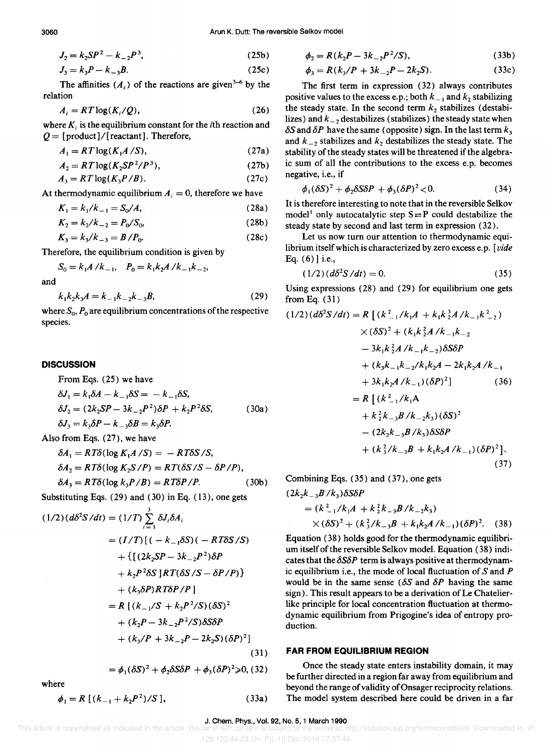$$
J_2 = k_2 SP^2 - k_{-2} P^3,
$$
 (25b)

$$
J_3 = k_3 P - k_{-3} B. \tag{25c}
$$

The affinities  $(A_i)$  of the reactions are given<sup>3-6</sup> by the relation

$$
A_i = RT \log(K_i/Q), \tag{26}
$$

where  $K_i$  is the equilibrium constant for the *i*th reaction and  $Q = \frac{1}{\text{product}} / \left[ \text{reactant} \right]$ . Therefore,

$$
A_1 = RT \log(K_1 A / S), \tag{27a}
$$

$$
A_2 = RT \log(K_2 SP^2/P^3),\tag{27b}
$$

$$
A_3 = RT \log(K_3 P/B). \tag{27c}
$$

At thermodynamic equilibrium  $A_i = 0$ , therefore we have

$$
K_1 = k_1/k_{-1} = S_0/A,
$$
 (28a)

$$
K_2 = k_2/k_{-2} = P_0/S_0,\tag{28b}
$$

$$
K_3 = k_3/k_{-3} = B/P_0.
$$
 (28c)

Therefore, the equilibrium condition is given by

$$
S_0 = k_1 A / k_{-1}, \quad P_0 = k_1 k_2 A / k_{-1} k_{-2},
$$

and

$$
k_1 k_2 k_3 A = k_{-1} k_{-2} k_{-3} B, \tag{29}
$$

where  $S_0$ ,  $P_0$  are equilibrium concentrations of the respective species.

#### **DISCUSSION**

From Eqs. (25) we have  
\n
$$
\delta J_1 = k_1 \delta A - k_{-1} \delta S = -k_{-1} \delta S,
$$
\n
$$
\delta J_2 = (2k_2 SP - 3k_{-2}P^2)\delta P + k_2 P^2 \delta S,
$$
\n
$$
\delta J_3 = k_3 \delta P - k_{-3} \delta B = k_3 \delta P.
$$
\n(30a)

Also from Eqs. (27), we have

$$
\delta A_1 = RT\delta(\log K_1 A/S) = -RT\delta S/S,
$$
  
\n
$$
\delta A_2 = RT\delta(\log K_2 S/P) = RT(\delta S/S - \delta P/P),
$$
  
\n
$$
\delta A_3 = RT\delta(\log k_3 P/B) = RT\delta P/P.
$$
\n(30b)

Substituting Eqs. (29) and (30) in Eq. (13), one gets

$$
(1/2) (d\delta^2 S/dt) = (1/T) \sum_{i=1}^{3} \delta J_i \delta A_i
$$
  
=  $(I/T) [(-k_{-1}\delta S)(-RT\delta S/S)$   
+ {  $[(2k_2 SP - 3k_{-2}P^2)\delta P$   
+  $k_2P^2 \delta S$  ]  $RT(\delta S/S - \delta P/P)$  }  
+  $(k_3 \delta P) RT \delta P/P$  ]  
=  $R [(k_{-1}/S + k_2P^2/S)(\delta S)^2$   
+  $(k_2P - 3k_{-2}P^2/S)\delta S \delta P$   
+  $(k_3/P + 3k_{-2}P - 2k_2S)(\delta P)^2 ]$   
=  $\phi_1(\delta S)^2 + \phi_2 \delta S \delta P + \phi_3(\delta P)^2 \ge 0$ , (32)

where

$$
\phi_1 = R [(k_{-1} + k_2 P^2)/S], \tag{33a}
$$

$$
\phi_2 = R(k_2 P - 3k_{-2} P^2/S),\tag{33b}
$$

$$
\phi_3 = R(k_3/P + 3k_{-2}P - 2k_2S). \tag{33c}
$$

The first term in expression (32) always contributes positive values to the excess e.p.; both  $k_{-1}$  and  $k_2$  stabilizing the steady state. In the second term  $k_2$  stabilizes (destabilizes) and  $k_{-2}$  destabilizes (stabilizes) the steady state when  $\delta S$  and  $\delta P$  have the same (opposite) sign. In the last term  $k_3$ and  $k_{-2}$  stabilizes and  $k_2$  destabilizes the steady state. The stability of the steady states will be threatened if the algebraic sum of all the contributions to the excess e.p. becomes negative, i.e., if

$$
\phi_1(\delta S)^2 + \phi_2 \delta S \delta P + \phi_3(\delta P)^2 < 0. \tag{34}
$$

It is therefore interesting to note that in the reversible Selkov model<sup>1</sup> only autocatalytic step  $S \rightleftarrows P$  could destabilize the steady state by second and last term in expression (32).

Let us now turn our attention to thermodynamic equilibrium itself which is characterized by zero excess e.p. [vide] Eq. (6)] i.e.,

$$
(1/2)(d\delta^2 S/dt) = 0.
$$
 (35)

Using expressions (28) and (29) for equilibrium one gets from Eq. (31)

$$
(1/2) (d\delta^2 S/dt) = R \left[ (k_{-1}^2 / k_1 A + k_1 k_2^3 A / k_{-1} k_{-2}^2) \times (\delta S)^2 + (k_1 k_2^2 A / k_{-1} k_{-2} - 3k_1 k_2^2 A / k_{-1} k_{-2}) \delta S \delta P \right. \\
\left. + (k_3 k_{-1} k_{-2} / k_1 k_2 A - 2k_1 k_2 A / k_{-1} + 3k_1 k_2 A / k_{-1}) (\delta P)^2 \right] \qquad (36)
$$
\n
$$
= R \left[ (k_{-1}^2 / k_1 A + k_2^2 k_{-3} B / k_{-2} k_3) (\delta S)^2 - (2k_2 k_{-3} B / k_3) \delta S \delta P + (k_3^2 / k_{-3} B + k_1 k_2 A / k_{-1}) (\delta P)^2 \right].
$$
\n(37)

Combining Eqs. (35) and (37), one gets

$$
(2k_2k_{-3}B/k_3)\delta S\delta P
$$
  
=  $(k_{-1}^2/k_1A + k_2^2k_{-3}B/k_{-2}k_3)$   
 $\times (\delta S)^2 + (k_3^2/k_{-3}B + k_1k_2A/k_{-1})(\delta P)^2$ . (38)

Equation (38) holds good for the thermodynamic equilibrium itself of the reversible Selkov model. Equation (38) indicates that the  $\delta S \delta P$  term is always positive at thermodynamic equilibrium i.e., the mode of local fluctuation of  $S$  and  $P$ would be in the same sense  $(\delta S \text{ and } \delta P)$  having the same sign). This result appears to be a derivation of Le Chatelierlike principle for local concentration fluctuation at thermodynamic equilibrium from Prigogine's idea of entropy production.

#### **FAR FROM EQUILIBRIUM REGION**

Once the steady state enters instability domain, it may be further directed in a region far away from equilibrium and beyond the range of validity of Onsager reciprocity relations. The model system described here could be driven in a far

J. Chem. Phys., Vol. 92, No. 5, 1 March 1990<br>This article is copyrighted as indicated in the article. Reuse of AIP content is subject to the terms at: h is subject to the terms at: http://scitation.aip.org/termsconditions. Downloaded to IP: 128.123.44.23 On: Fri, 19 Dec 2014 17:07:44